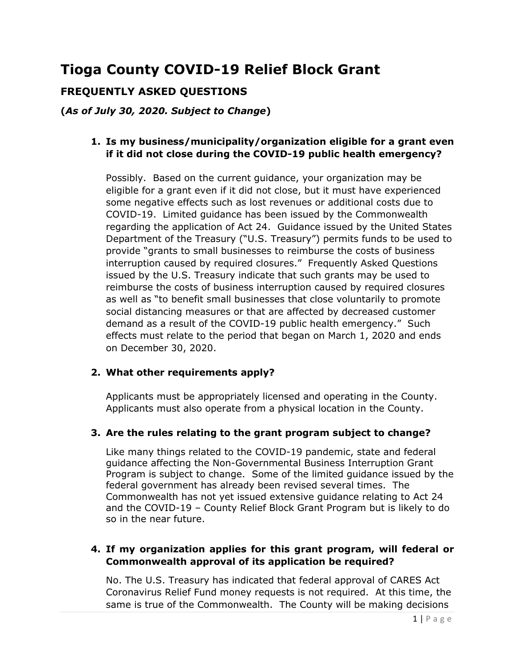# **Tioga County COVID-19 Relief Block Grant**

# **FREQUENTLY ASKED QUESTIONS**

**(***As of July 30, 2020. Subject to Change***)**

## **1. Is my business/municipality/organization eligible for a grant even if it did not close during the COVID-19 public health emergency?**

Possibly. Based on the current guidance, your organization may be eligible for a grant even if it did not close, but it must have experienced some negative effects such as lost revenues or additional costs due to COVID-19.Limited guidance has been issued by the Commonwealth regarding the application of Act 24. Guidance issued by the United States Department of the Treasury ("U.S. Treasury") permits funds to be used to provide "grants to small businesses to reimburse the costs of business interruption caused by required closures." Frequently Asked Questions issued by the U.S. Treasury indicate that such grants may be used to reimburse the costs of business interruption caused by required closures as well as "to benefit small businesses that close voluntarily to promote social distancing measures or that are affected by decreased customer demand as a result of the COVID-19 public health emergency." Such effects must relate to the period that began on March 1, 2020 and ends on December 30, 2020.

#### **2. What other requirements apply?**

Applicants must be appropriately licensed and operating in the County. Applicants must also operate from a physical location in the County.

#### **3. Are the rules relating to the grant program subject to change?**

Like many things related to the COVID-19 pandemic, state and federal guidance affecting the Non-Governmental Business Interruption Grant Program is subject to change. Some of the limited guidance issued by the federal government has already been revised several times. The Commonwealth has not yet issued extensive guidance relating to Act 24 and the COVID-19 – County Relief Block Grant Program but is likely to do so in the near future.

# **4. If my organization applies for this grant program, will federal or Commonwealth approval of its application be required?**

No. The U.S. Treasury has indicated that federal approval of CARES Act Coronavirus Relief Fund money requests is not required. At this time, the same is true of the Commonwealth. The County will be making decisions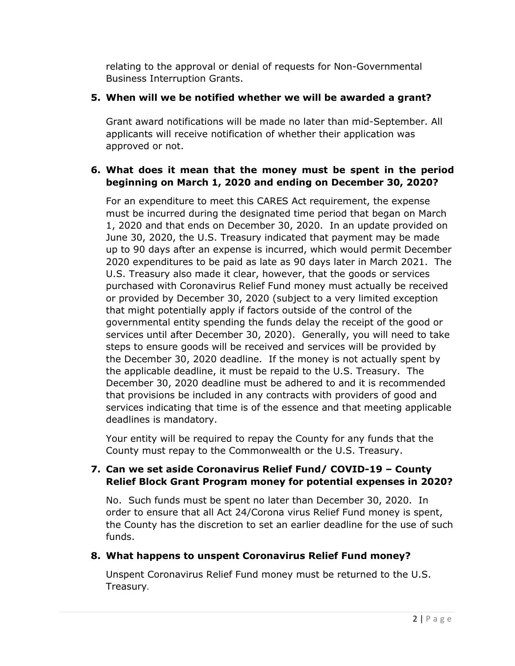relating to the approval or denial of requests for Non-Governmental Business Interruption Grants.

# **5. When will we be notified whether we will be awarded a grant?**

Grant award notifications will be made no later than mid-September. All applicants will receive notification of whether their application was approved or not.

# **6. What does it mean that the money must be spent in the period beginning on March 1, 2020 and ending on December 30, 2020?**

For an expenditure to meet this CARES Act requirement, the expense must be incurred during the designated time period that began on March 1, 2020 and that ends on December 30, 2020. In an update provided on June 30, 2020, the U.S. Treasury indicated that payment may be made up to 90 days after an expense is incurred, which would permit December 2020 expenditures to be paid as late as 90 days later in March 2021. The U.S. Treasury also made it clear, however, that the goods or services purchased with Coronavirus Relief Fund money must actually be received or provided by December 30, 2020 (subject to a very limited exception that might potentially apply if factors outside of the control of the governmental entity spending the funds delay the receipt of the good or services until after December 30, 2020). Generally, you will need to take steps to ensure goods will be received and services will be provided by the December 30, 2020 deadline. If the money is not actually spent by the applicable deadline, it must be repaid to the U.S. Treasury. The December 30, 2020 deadline must be adhered to and it is recommended that provisions be included in any contracts with providers of good and services indicating that time is of the essence and that meeting applicable deadlines is mandatory.

Your entity will be required to repay the County for any funds that the County must repay to the Commonwealth or the U.S. Treasury.

## **7. Can we set aside Coronavirus Relief Fund/ COVID-19 – County Relief Block Grant Program money for potential expenses in 2020?**

No. Such funds must be spent no later than December 30, 2020. In order to ensure that all Act 24/Corona virus Relief Fund money is spent, the County has the discretion to set an earlier deadline for the use of such funds.

# **8. What happens to unspent Coronavirus Relief Fund money?**

Unspent Coronavirus Relief Fund money must be returned to the U.S. Treasury.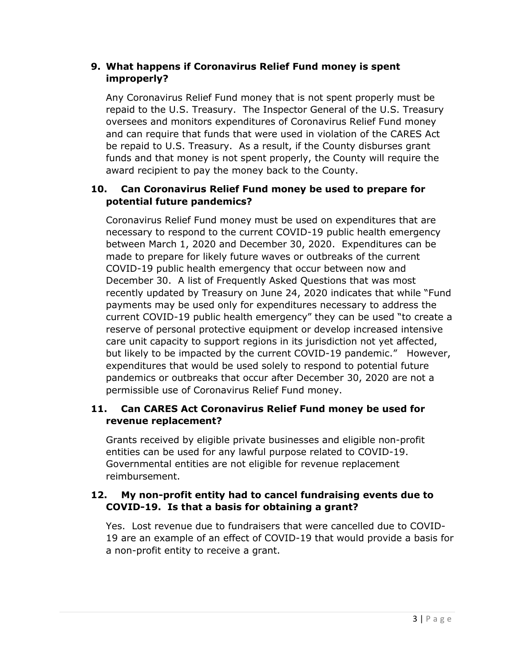# **9. What happens if Coronavirus Relief Fund money is spent improperly?**

Any Coronavirus Relief Fund money that is not spent properly must be repaid to the U.S. Treasury. The Inspector General of the U.S. Treasury oversees and monitors expenditures of Coronavirus Relief Fund money and can require that funds that were used in violation of the CARES Act be repaid to U.S. Treasury. As a result, if the County disburses grant funds and that money is not spent properly, the County will require the award recipient to pay the money back to the County.

# **10. Can Coronavirus Relief Fund money be used to prepare for potential future pandemics?**

Coronavirus Relief Fund money must be used on expenditures that are necessary to respond to the current COVID-19 public health emergency between March 1, 2020 and December 30, 2020. Expenditures can be made to prepare for likely future waves or outbreaks of the current COVID-19 public health emergency that occur between now and December 30. A list of Frequently Asked Questions that was most recently updated by Treasury on June 24, 2020 indicates that while "Fund payments may be used only for expenditures necessary to address the current COVID-19 public health emergency" they can be used "to create a reserve of personal protective equipment or develop increased intensive care unit capacity to support regions in its jurisdiction not yet affected, but likely to be impacted by the current COVID-19 pandemic." However, expenditures that would be used solely to respond to potential future pandemics or outbreaks that occur after December 30, 2020 are not a permissible use of Coronavirus Relief Fund money.

# **11. Can CARES Act Coronavirus Relief Fund money be used for revenue replacement?**

Grants received by eligible private businesses and eligible non-profit entities can be used for any lawful purpose related to COVID-19. Governmental entities are not eligible for revenue replacement reimbursement.

# **12. My non-profit entity had to cancel fundraising events due to COVID-19. Is that a basis for obtaining a grant?**

Yes. Lost revenue due to fundraisers that were cancelled due to COVID-19 are an example of an effect of COVID-19 that would provide a basis for a non-profit entity to receive a grant.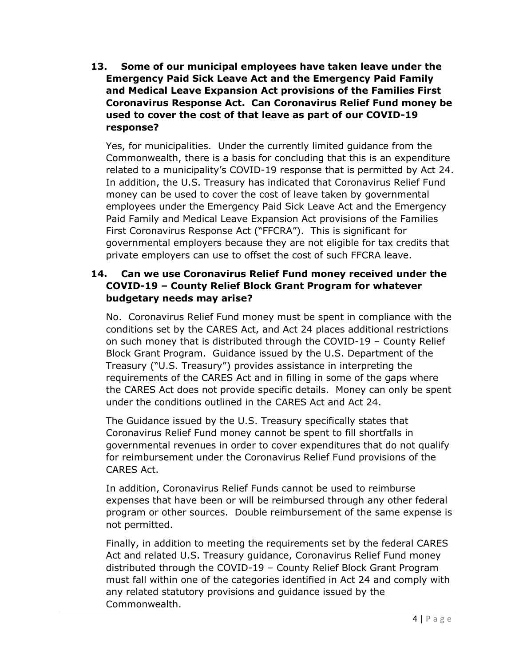**13. Some of our municipal employees have taken leave under the Emergency Paid Sick Leave Act and the Emergency Paid Family and Medical Leave Expansion Act provisions of the Families First Coronavirus Response Act. Can Coronavirus Relief Fund money be used to cover the cost of that leave as part of our COVID-19 response?**

Yes, for municipalities. Under the currently limited guidance from the Commonwealth, there is a basis for concluding that this is an expenditure related to a municipality's COVID-19 response that is permitted by Act 24. In addition, the U.S. Treasury has indicated that Coronavirus Relief Fund money can be used to cover the cost of leave taken by governmental employees under the Emergency Paid Sick Leave Act and the Emergency Paid Family and Medical Leave Expansion Act provisions of the Families First Coronavirus Response Act ("FFCRA"). This is significant for governmental employers because they are not eligible for tax credits that private employers can use to offset the cost of such FFCRA leave.

## **14. Can we use Coronavirus Relief Fund money received under the COVID-19 – County Relief Block Grant Program for whatever budgetary needs may arise?**

No. Coronavirus Relief Fund money must be spent in compliance with the conditions set by the CARES Act, and Act 24 places additional restrictions on such money that is distributed through the COVID-19 – County Relief Block Grant Program. Guidance issued by the U.S. Department of the Treasury ("U.S. Treasury") provides assistance in interpreting the requirements of the CARES Act and in filling in some of the gaps where the CARES Act does not provide specific details. Money can only be spent under the conditions outlined in the CARES Act and Act 24.

The Guidance issued by the U.S. Treasury specifically states that Coronavirus Relief Fund money cannot be spent to fill shortfalls in governmental revenues in order to cover expenditures that do not qualify for reimbursement under the Coronavirus Relief Fund provisions of the CARES Act.

In addition, Coronavirus Relief Funds cannot be used to reimburse expenses that have been or will be reimbursed through any other federal program or other sources. Double reimbursement of the same expense is not permitted.

Finally, in addition to meeting the requirements set by the federal CARES Act and related U.S. Treasury guidance, Coronavirus Relief Fund money distributed through the COVID-19 – County Relief Block Grant Program must fall within one of the categories identified in Act 24 and comply with any related statutory provisions and guidance issued by the Commonwealth.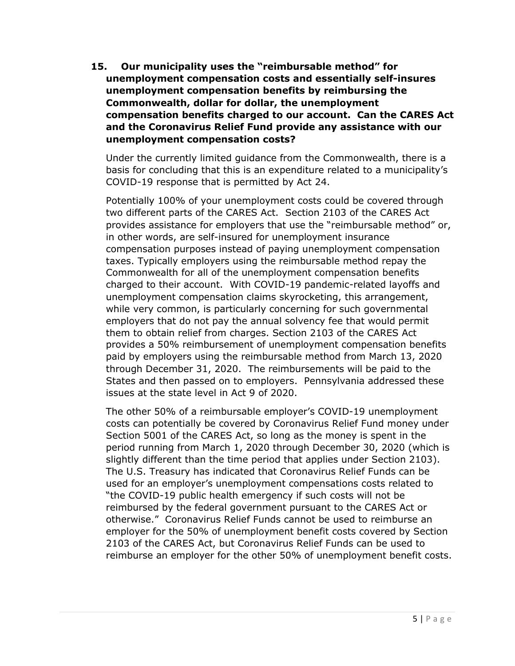**15. Our municipality uses the "reimbursable method" for unemployment compensation costs and essentially self-insures unemployment compensation benefits by reimbursing the Commonwealth, dollar for dollar, the unemployment compensation benefits charged to our account. Can the CARES Act and the Coronavirus Relief Fund provide any assistance with our unemployment compensation costs?**

Under the currently limited guidance from the Commonwealth, there is a basis for concluding that this is an expenditure related to a municipality's COVID-19 response that is permitted by Act 24.

Potentially 100% of your unemployment costs could be covered through two different parts of the CARES Act. Section 2103 of the CARES Act provides assistance for employers that use the "reimbursable method" or, in other words, are self-insured for unemployment insurance compensation purposes instead of paying unemployment compensation taxes. Typically employers using the reimbursable method repay the Commonwealth for all of the unemployment compensation benefits charged to their account. With COVID-19 pandemic-related layoffs and unemployment compensation claims skyrocketing, this arrangement, while very common, is particularly concerning for such governmental employers that do not pay the annual solvency fee that would permit them to obtain relief from charges. Section 2103 of the CARES Act provides a 50% reimbursement of unemployment compensation benefits paid by employers using the reimbursable method from March 13, 2020 through December 31, 2020. The reimbursements will be paid to the States and then passed on to employers. Pennsylvania addressed these issues at the state level in Act 9 of 2020.

The other 50% of a reimbursable employer's COVID-19 unemployment costs can potentially be covered by Coronavirus Relief Fund money under Section 5001 of the CARES Act, so long as the money is spent in the period running from March 1, 2020 through December 30, 2020 (which is slightly different than the time period that applies under Section 2103). The U.S. Treasury has indicated that Coronavirus Relief Funds can be used for an employer's unemployment compensations costs related to "the COVID-19 public health emergency if such costs will not be reimbursed by the federal government pursuant to the CARES Act or otherwise." Coronavirus Relief Funds cannot be used to reimburse an employer for the 50% of unemployment benefit costs covered by Section 2103 of the CARES Act, but Coronavirus Relief Funds can be used to reimburse an employer for the other 50% of unemployment benefit costs.